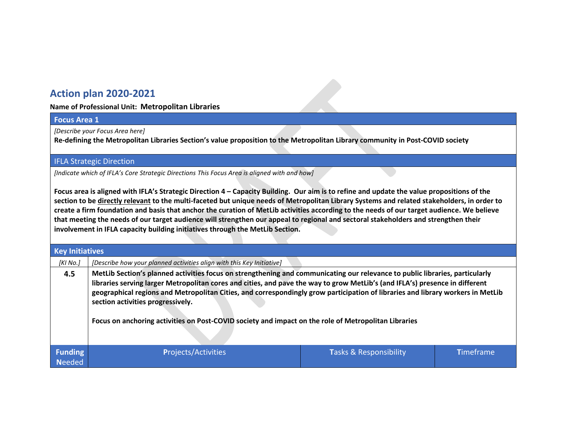# **Action plan 2020-2021**

**Name of Professional Unit: Metropolitan Libraries**

#### **Focus Area 1**

*[Describe your Focus Area here]* 

**Re-defining the Metropolitan Libraries Section's value proposition to the Metropolitan Library community in Post-COVID society**

IFLA Strategic Direction

*[Indicate which of IFLA's Core Strategic Directions This Focus Area is aligned with and how]* 

**Focus area is aligned with IFLA's Strategic Direction 4 – Capacity Building. Our aim is to refine and update the value propositions of the section to be directly relevant to the multi-faceted but unique needs of Metropolitan Library Systems and related stakeholders, in order to create a firm foundation and basis that anchor the curation of MetLib activities according to the needs of our target audience. We believe that meeting the needs of our target audience will strengthen our appeal to regional and sectoral stakeholders and strengthen their involvement in IFLA capacity building initiatives through the MetLib Section.** 

| <b>Key Initiatives</b>          |                                                                                                                                                                                                                                                                                                                                                                                                                                                                                                                                              |                        |                  |  |  |  |
|---------------------------------|----------------------------------------------------------------------------------------------------------------------------------------------------------------------------------------------------------------------------------------------------------------------------------------------------------------------------------------------------------------------------------------------------------------------------------------------------------------------------------------------------------------------------------------------|------------------------|------------------|--|--|--|
| [KI No.]                        | [Describe how your planned activities align with this Key Initiative]                                                                                                                                                                                                                                                                                                                                                                                                                                                                        |                        |                  |  |  |  |
| 4.5                             | MetLib Section's planned activities focus on strengthening and communicating our relevance to public libraries, particularly<br>libraries serving larger Metropolitan cores and cities, and pave the way to grow MetLib's (and IFLA's) presence in different<br>geographical regions and Metropolitan Cities, and correspondingly grow participation of libraries and library workers in MetLib<br>section activities progressively.<br>Focus on anchoring activities on Post-COVID society and impact on the role of Metropolitan Libraries |                        |                  |  |  |  |
| <b>Funding</b><br><b>Needed</b> | <b>Projects/Activities</b>                                                                                                                                                                                                                                                                                                                                                                                                                                                                                                                   | Tasks & Responsibility | <b>Timeframe</b> |  |  |  |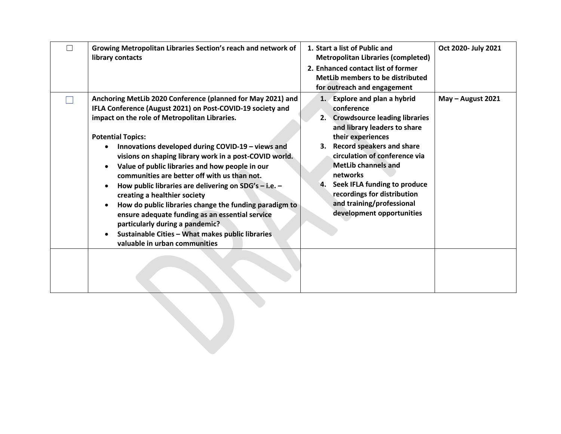| Growing Metropolitan Libraries Section's reach and network of<br>library contacts                                                                                                                                                                                                                                                                                                                                                                                                                                                                                                                                                                                                                                                                                     | 1. Start a list of Public and<br><b>Metropolitan Libraries (completed)</b><br>2. Enhanced contact list of former<br>MetLib members to be distributed<br>for outreach and engagement                                                                                                                                                                                           | Oct 2020- July 2021 |
|-----------------------------------------------------------------------------------------------------------------------------------------------------------------------------------------------------------------------------------------------------------------------------------------------------------------------------------------------------------------------------------------------------------------------------------------------------------------------------------------------------------------------------------------------------------------------------------------------------------------------------------------------------------------------------------------------------------------------------------------------------------------------|-------------------------------------------------------------------------------------------------------------------------------------------------------------------------------------------------------------------------------------------------------------------------------------------------------------------------------------------------------------------------------|---------------------|
| Anchoring MetLib 2020 Conference (planned for May 2021) and<br>IFLA Conference (August 2021) on Post-COVID-19 society and<br>impact on the role of Metropolitan Libraries.<br><b>Potential Topics:</b><br>Innovations developed during COVID-19 - views and<br>$\bullet$<br>visions on shaping library work in a post-COVID world.<br>Value of public libraries and how people in our<br>communities are better off with us than not.<br>How public libraries are delivering on $SDG's - i.e. -$<br>creating a healthier society<br>How do public libraries change the funding paradigm to<br>ensure adequate funding as an essential service<br>particularly during a pandemic?<br>Sustainable Cities - What makes public libraries<br>valuable in urban communities | 1. Explore and plan a hybrid<br>conference<br>2. Crowdsource leading libraries<br>and library leaders to share<br>their experiences<br>3. Record speakers and share<br>circulation of conference via<br><b>MetLib channels and</b><br>networks<br>Seek IFLA funding to produce<br>4.<br>recordings for distribution<br>and training/professional<br>development opportunities | May - August 2021   |
|                                                                                                                                                                                                                                                                                                                                                                                                                                                                                                                                                                                                                                                                                                                                                                       |                                                                                                                                                                                                                                                                                                                                                                               |                     |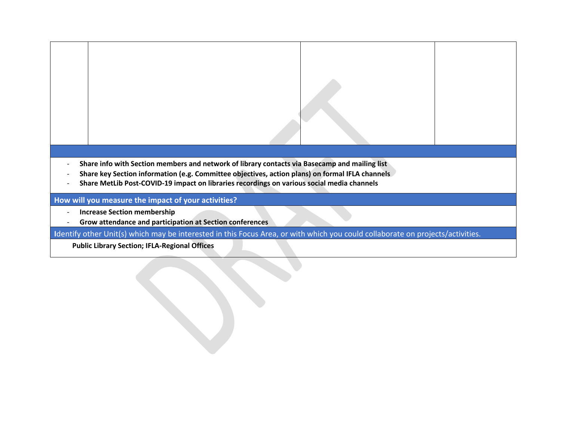

- **Share key Section information (e.g. Committee objectives, action plans) on formal IFLA channels**
- **Share MetLib Post-COVID-19 impact on libraries recordings on various social media channels**

### **How will you measure the impact of your activities?**

- **Increase Section membership**
- **Grow attendance and participation at Section conferences**

**I**dentify other Unit(s) which may be interested in this Focus Area, or with which you could collaborate on projects/activities.

**Public Library Section; IFLA-Regional Offices**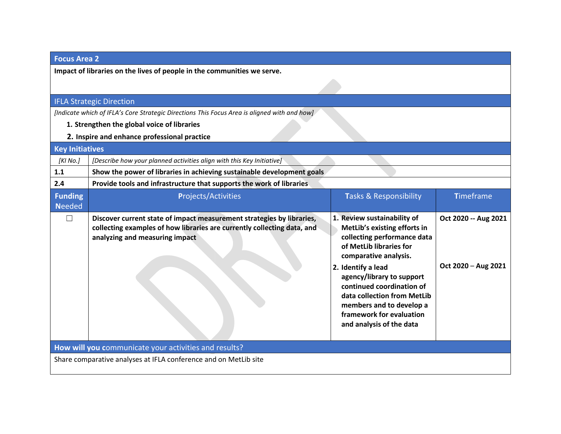## **Focus Area 2**

**Impact of libraries on the lives of people in the communities we serve.**

## IFLA Strategic Direction

*[Indicate which of IFLA's Core Strategic Directions This Focus Area is aligned with and how]* 

- **1. Strengthen the global voice of libraries**
- **2. Inspire and enhance professional practice**

| <b>Key Initiatives</b>                                           |                                                                                                                                                                                    |                                                                                                                                                                                                                                                                                                                                                   |                                             |  |  |
|------------------------------------------------------------------|------------------------------------------------------------------------------------------------------------------------------------------------------------------------------------|---------------------------------------------------------------------------------------------------------------------------------------------------------------------------------------------------------------------------------------------------------------------------------------------------------------------------------------------------|---------------------------------------------|--|--|
| [KI No.]                                                         | [Describe how your planned activities align with this Key Initiative]                                                                                                              |                                                                                                                                                                                                                                                                                                                                                   |                                             |  |  |
| 1.1                                                              | Show the power of libraries in achieving sustainable development goals                                                                                                             |                                                                                                                                                                                                                                                                                                                                                   |                                             |  |  |
| 2.4                                                              | Provide tools and infrastructure that supports the work of libraries                                                                                                               |                                                                                                                                                                                                                                                                                                                                                   |                                             |  |  |
| <b>Funding</b><br><b>Needed</b>                                  | <b>Projects/Activities</b>                                                                                                                                                         | <b>Tasks &amp; Responsibility</b>                                                                                                                                                                                                                                                                                                                 | <b>Timeframe</b>                            |  |  |
|                                                                  | Discover current state of impact measurement strategies by libraries,<br>collecting examples of how libraries are currently collecting data, and<br>analyzing and measuring impact | 1. Review sustainability of<br>MetLib's existing efforts in<br>collecting performance data<br>of MetLib libraries for<br>comparative analysis.<br>2. Identify a lead<br>agency/library to support<br>continued coordination of<br>data collection from MetLib<br>members and to develop a<br>framework for evaluation<br>and analysis of the data | Oct 2020 -- Aug 2021<br>Oct 2020 - Aug 2021 |  |  |
| How will you communicate your activities and results?            |                                                                                                                                                                                    |                                                                                                                                                                                                                                                                                                                                                   |                                             |  |  |
| Share comparative analyses at IFLA conference and on MetLib site |                                                                                                                                                                                    |                                                                                                                                                                                                                                                                                                                                                   |                                             |  |  |